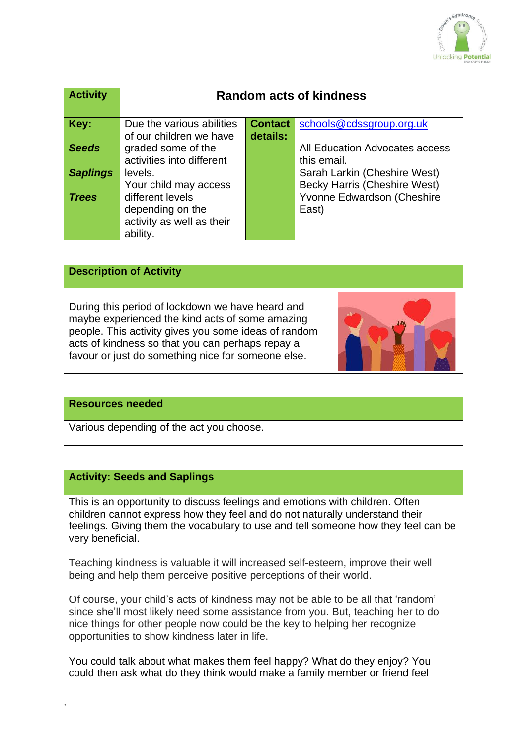

| <b>Activity</b> | <b>Random acts of kindness</b>                                                |                            |                                                                     |
|-----------------|-------------------------------------------------------------------------------|----------------------------|---------------------------------------------------------------------|
| Key:            | Due the various abilities<br>of our children we have                          | <b>Contact</b><br>details: | schools@cdssgroup.org.uk                                            |
| <b>Seeds</b>    | graded some of the<br>activities into different                               |                            | All Education Advocates access<br>this email.                       |
| <b>Saplings</b> | levels.<br>Your child may access                                              |                            | Sarah Larkin (Cheshire West)<br><b>Becky Harris (Cheshire West)</b> |
| <b>Trees</b>    | different levels<br>depending on the<br>activity as well as their<br>ability. |                            | Yvonne Edwardson (Cheshire<br>East)                                 |

## **Description of Activity**

During this period of lockdown we have heard and maybe experienced the kind acts of some amazing people. This activity gives you some ideas of random acts of kindness so that you can perhaps repay a favour or just do something nice for someone else.



#### **Resources needed**

`

Various depending of the act you choose.

### **Activity: Seeds and Saplings**

This is an opportunity to discuss feelings and emotions with children. Often children cannot express how they feel and do not naturally understand their feelings. Giving them the vocabulary to use and tell someone how they feel can be very beneficial.

Teaching kindness is valuable it will increased self-esteem, improve their well being and help them perceive positive perceptions of their world.

Of course, your child's acts of kindness may not be able to be all that 'random' since she'll most likely need some assistance from you. But, teaching her to do nice things for other people now could be the key to helping her recognize opportunities to show kindness later in life.

You could talk about what makes them feel happy? What do they enjoy? You could then ask what do they think would make a family member or friend feel